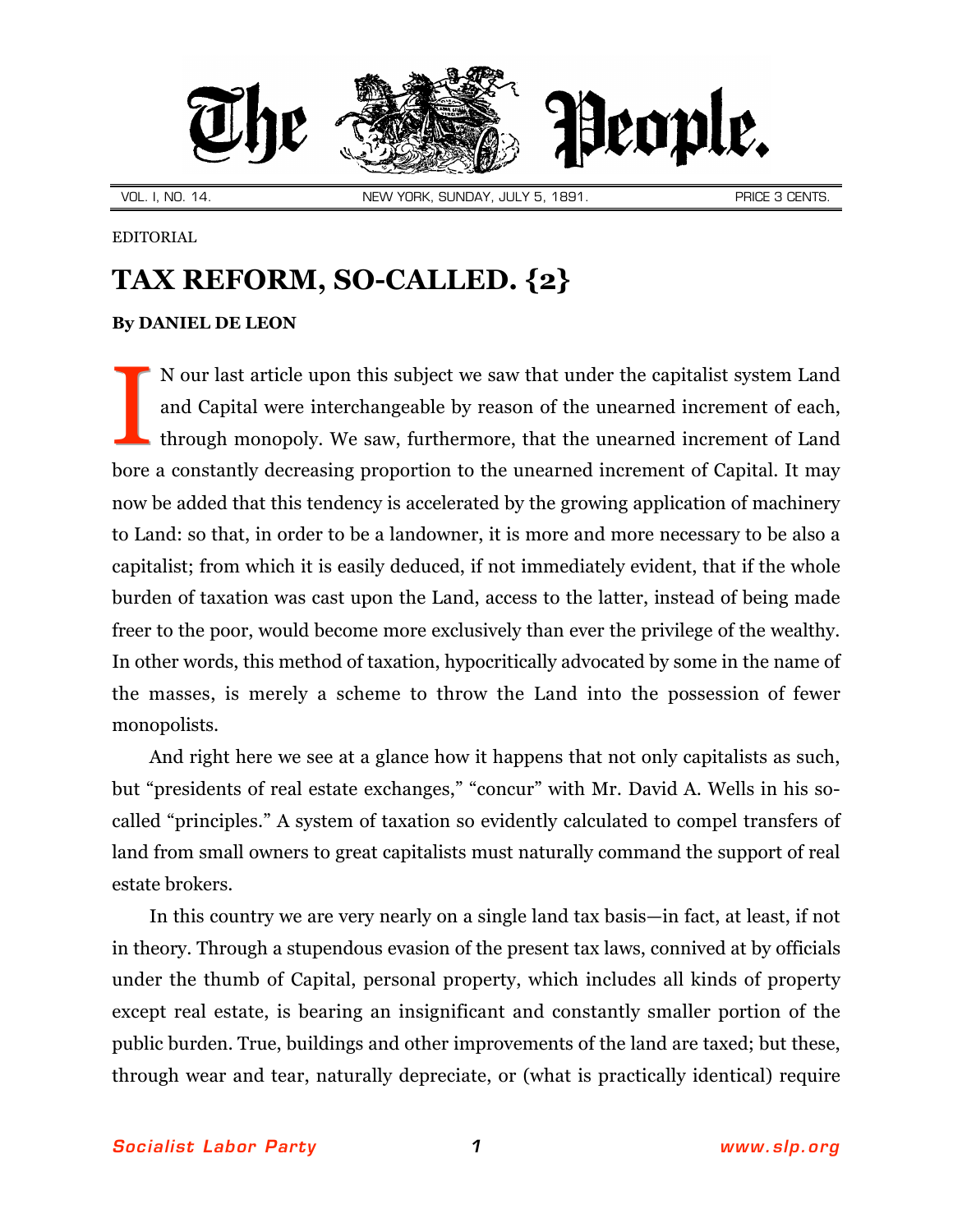

EDITORIAL

## **TAX REFORM, SO-CALLED. {2}**

## **By [DANIEL DE LEON](http://slp.org/De_Leon.htm)**

N our last article upon this subject we saw that under the capitalist system Land and Capital were interchangeable by reason of the unearned increment of each, through monopoly. We saw, furthermore, that the unearned increment of Land bore a constantly decreasing proportion to the unearned increment of Capital. It may now be added that this tendency is accelerated by the growing application of machinery to Land: so that, in order to be a landowner, it is more and more necessary to be also a capitalist; from which it is easily deduced, if not immediately evident, that if the whole burden of taxation was cast upon the Land, access to the latter, instead of being made freer to the poor, would become more exclusively than ever the privilege of the wealthy. In other words, this method of taxation, hypocritically advocated by some in the name of the masses, is merely a scheme to throw the Land into the possession of fewer monopolists. I

And right here we see at a glance how it happens that not only capitalists as such, but "presidents of real estate exchanges," "concur" with Mr. David A. Wells in his socalled "principles." A system of taxation so evidently calculated to compel transfers of land from small owners to great capitalists must naturally command the support of real estate brokers.

In this country we are very nearly on a single land tax basis—in fact, at least, if not in theory. Through a stupendous evasion of the present tax laws, connived at by officials under the thumb of Capital, personal property, which includes all kinds of property except real estate, is bearing an insignificant and constantly smaller portion of the public burden. True, buildings and other improvements of the land are taxed; but these, through wear and tear, naturally depreciate, or (what is practically identical) require